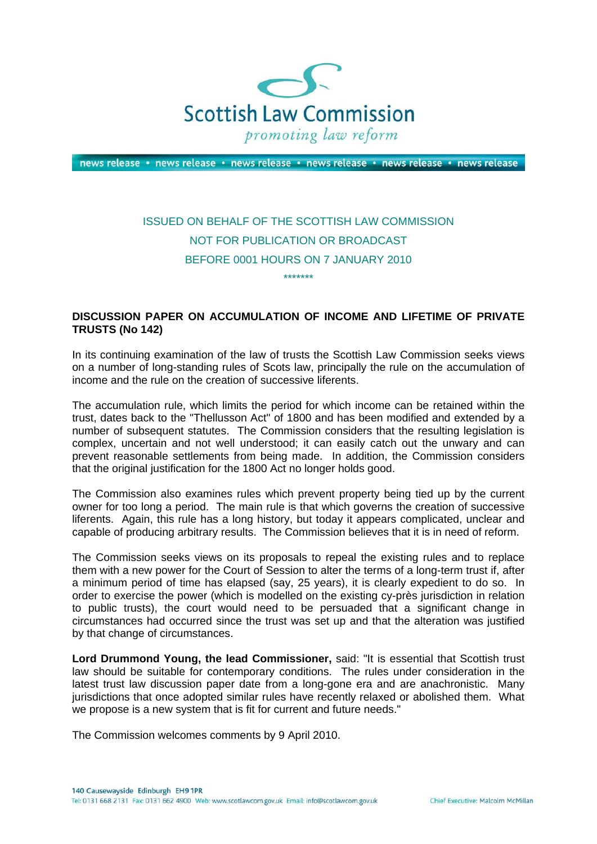

news release · news release · news release · news release · news release · news release

## ISSUED ON BEHALF OF THE SCOTTISH LAW COMMISSION NOT FOR PUBLICATION OR BROADCAST BEFORE 0001 HOURS ON 7 JANUARY 2010

\*\*\*\*\*\*\*

## **DISCUSSION PAPER ON ACCUMULATION OF INCOME AND LIFETIME OF PRIVATE TRUSTS (No 142)**

In its continuing examination of the law of trusts the Scottish Law Commission seeks views on a number of long-standing rules of Scots law, principally the rule on the accumulation of income and the rule on the creation of successive liferents.

The accumulation rule, which limits the period for which income can be retained within the trust, dates back to the "Thellusson Act" of 1800 and has been modified and extended by a number of subsequent statutes. The Commission considers that the resulting legislation is complex, uncertain and not well understood; it can easily catch out the unwary and can prevent reasonable settlements from being made. In addition, the Commission considers that the original justification for the 1800 Act no longer holds good.

The Commission also examines rules which prevent property being tied up by the current owner for too long a period. The main rule is that which governs the creation of successive liferents. Again, this rule has a long history, but today it appears complicated, unclear and capable of producing arbitrary results. The Commission believes that it is in need of reform.

The Commission seeks views on its proposals to repeal the existing rules and to replace them with a new power for the Court of Session to alter the terms of a long-term trust if, after a minimum period of time has elapsed (say, 25 years), it is clearly expedient to do so. In order to exercise the power (which is modelled on the existing cy-près jurisdiction in relation to public trusts), the court would need to be persuaded that a significant change in circumstances had occurred since the trust was set up and that the alteration was justified by that change of circumstances.

**Lord Drummond Young, the lead Commissioner,** said: "It is essential that Scottish trust law should be suitable for contemporary conditions. The rules under consideration in the latest trust law discussion paper date from a long-gone era and are anachronistic. Many jurisdictions that once adopted similar rules have recently relaxed or abolished them. What we propose is a new system that is fit for current and future needs."

The Commission welcomes comments by 9 April 2010.